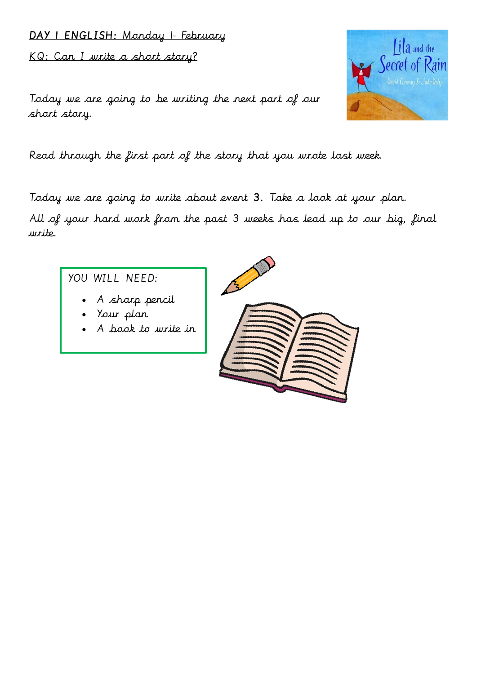# DAY | ENGLISH: Monday 1- February KQ: Can I write a short story?

Today we are going to be writing the next part of our short story.

Read through the first part of the story that you wrote last week.

Today we are going to write about event 3. Take a look at your plan. All of your hard work from the past 3 weeks has lead up to our big, final write.

# YOU WILL NEED:

- A sharp pencil
- Your plan
- A book to write in



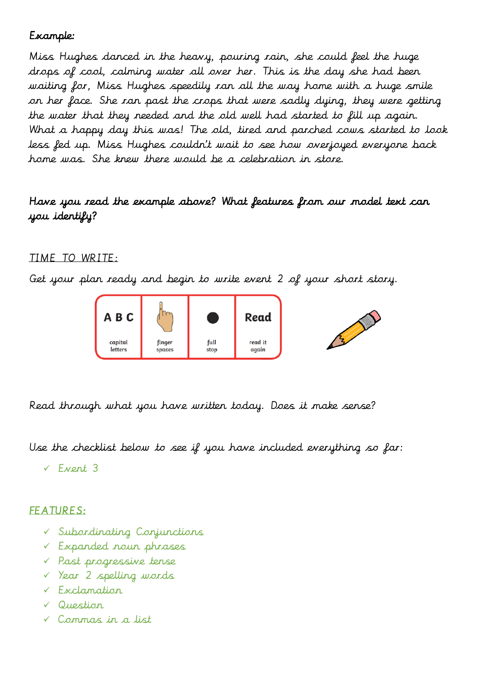## Example:

Miss Hughes danced in the heavy, pouring rain, she could feel the huge drops of cool, calming water all over her. This is the day she had been waiting for, Miss Hughes speedily ran all the way home with a huge smile on her face. She ran past the crops that were sadly dying, they were getting the water that they needed and the old well had started to fill up again. What a happy day this was! The old, tired and parched cows started to look less fed up. Miss Hughes couldn't wait to see how overjoyed everyone back home was. She knew there would be a celebration in store.

### Have you read the example above? What features from our model text can you identify?

#### TIME TO WRITE:

Get your plan ready and begin to write event 2 of your short story.



Read through what you have written today. Does it make sense?

Use the checklist below to see if you have included everything so far:

Event 3

#### FEATURES:

- Subordinating Conjunctions
- Expanded noun phrases
- Past progressive tense
- Year 2 spelling words
- Exclamation
- Question
- Commas in a list